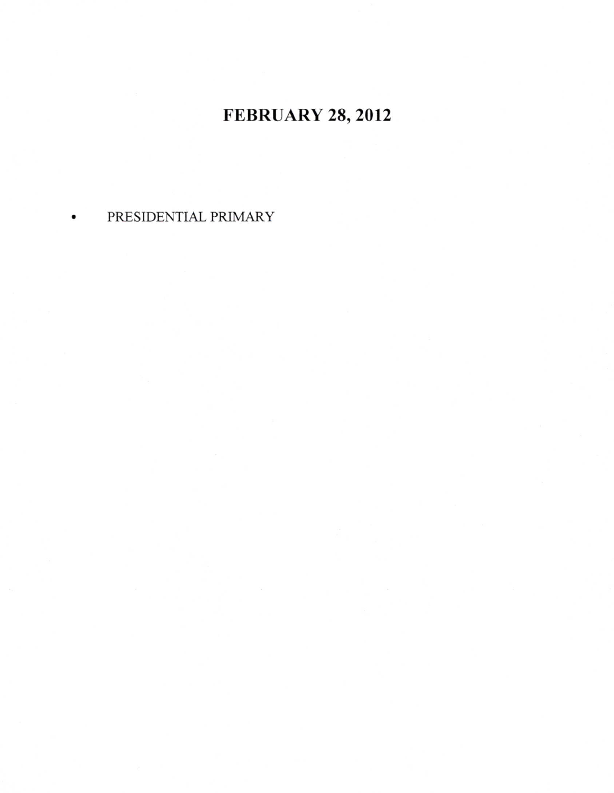## FEBRUARY 28,2012

## PRESIDENTIAL PRIMARY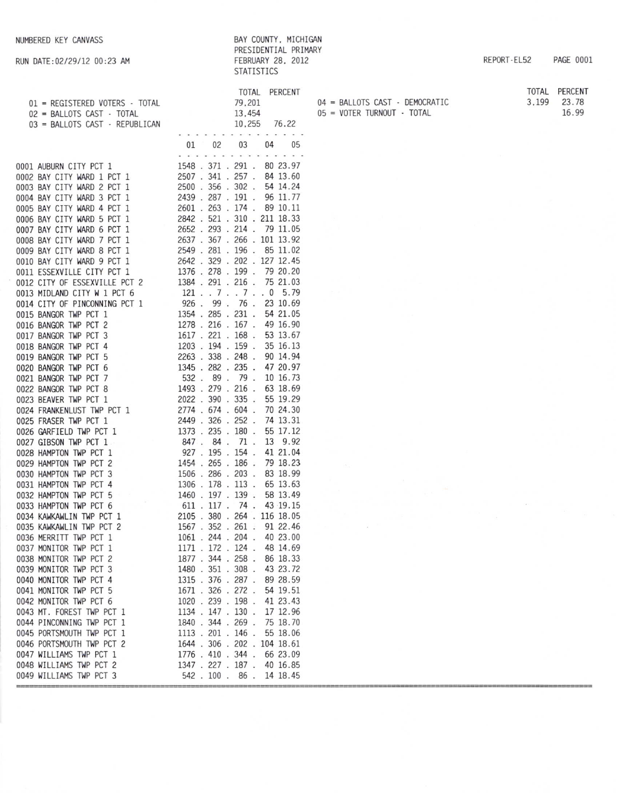RUN DATE: 02/29/12 00:23 AM

| BAY COUNTY, MICHIGAN |  |
|----------------------|--|
| PRESIDENTIAL PRIMARY |  |
| FEBRUARY 28, 2012    |  |
| <b>STATISTICS</b>    |  |

04 = BALLOTS CAST - DEMOCRATIC 05 = VOTER TURNOUT - TOTAL

REPORT-EL52 PAGE 0001

| TOTAL | PERCENT |
|-------|---------|
| 3.199 | 23.78   |
|       | 16.99   |

| TOTAL PERCENT<br>01 = REGISTERED VOTERS - TOTAL 79.201<br>02 = BALLOTS CAST - TOTAL 13,454<br>03 = BALLOTS CAST - REPUBLICAN 10.255 76.22                                                                                                      |                    |                             |
|------------------------------------------------------------------------------------------------------------------------------------------------------------------------------------------------------------------------------------------------|--------------------|-----------------------------|
| 0001 AUBURN CITY PCT 1<br>01 02 03 04 05<br>0001 AUBURN CITY PCT 1<br>2548 371 1 291 00 03 04 05<br>0001 BAY CITY WARD 2 PCT 1<br>2550 1.356 330 2.54 14.24<br>0004 BAY CITY WARD 3 PCT 1<br>2550 .356 -302 - 54 14.24<br>0004 BAY CITY WARD 4 |                    | 01 02 03 04 05              |
|                                                                                                                                                                                                                                                |                    |                             |
|                                                                                                                                                                                                                                                |                    |                             |
|                                                                                                                                                                                                                                                |                    |                             |
|                                                                                                                                                                                                                                                |                    |                             |
|                                                                                                                                                                                                                                                |                    |                             |
|                                                                                                                                                                                                                                                |                    |                             |
|                                                                                                                                                                                                                                                |                    |                             |
|                                                                                                                                                                                                                                                |                    |                             |
|                                                                                                                                                                                                                                                |                    |                             |
|                                                                                                                                                                                                                                                |                    |                             |
|                                                                                                                                                                                                                                                |                    |                             |
|                                                                                                                                                                                                                                                |                    |                             |
|                                                                                                                                                                                                                                                |                    |                             |
|                                                                                                                                                                                                                                                |                    |                             |
|                                                                                                                                                                                                                                                |                    |                             |
|                                                                                                                                                                                                                                                |                    |                             |
|                                                                                                                                                                                                                                                |                    |                             |
|                                                                                                                                                                                                                                                |                    |                             |
|                                                                                                                                                                                                                                                |                    |                             |
|                                                                                                                                                                                                                                                |                    |                             |
|                                                                                                                                                                                                                                                |                    |                             |
|                                                                                                                                                                                                                                                |                    |                             |
|                                                                                                                                                                                                                                                |                    |                             |
|                                                                                                                                                                                                                                                |                    |                             |
|                                                                                                                                                                                                                                                |                    |                             |
|                                                                                                                                                                                                                                                |                    |                             |
|                                                                                                                                                                                                                                                |                    |                             |
|                                                                                                                                                                                                                                                |                    |                             |
|                                                                                                                                                                                                                                                |                    |                             |
|                                                                                                                                                                                                                                                |                    |                             |
|                                                                                                                                                                                                                                                |                    |                             |
|                                                                                                                                                                                                                                                |                    |                             |
|                                                                                                                                                                                                                                                |                    |                             |
|                                                                                                                                                                                                                                                |                    |                             |
|                                                                                                                                                                                                                                                |                    |                             |
|                                                                                                                                                                                                                                                |                    |                             |
|                                                                                                                                                                                                                                                |                    |                             |
| 0037 MONITOR TWP PCT 1                                                                                                                                                                                                                         | 1171 . 172 . 124 . | 48 14.69                    |
| 0038 MONITOR TWP PCT 2                                                                                                                                                                                                                         | 1877 . 344 . 258 . | 86 18.33                    |
| 0039 MONITOR TWP PCT 3                                                                                                                                                                                                                         | 1480 . 351 . 308 . | 43 23.72                    |
| 0040 MONITOR TWP PCT 4                                                                                                                                                                                                                         | 1315 . 376 . 287 . | 89 28.59                    |
| 0041 MONITOR TWP PCT 5                                                                                                                                                                                                                         | 1671 . 326 . 272 . | 54 19.51                    |
| 0042 MONITOR TWP PCT 6                                                                                                                                                                                                                         | 1020 . 239 . 198 . | 41 23.43                    |
| 0043 MT. FOREST TWP PCT 1                                                                                                                                                                                                                      | 1134 . 147 . 130 . | 17 12.96                    |
| 0044 PINCONNING TWP PCT 1                                                                                                                                                                                                                      | 1840.              | 344.269.<br>75 18.70        |
| 0045 PORTSMOUTH TWP PCT 1                                                                                                                                                                                                                      | 1113.201.          | 146.<br>55 18.06            |
| 0046 PORTSMOUTH TWP PCT 2                                                                                                                                                                                                                      | 1644 . 306 . 202 . | 104 18.61                   |
| 0047 WILLIAMS TWP PCT 1                                                                                                                                                                                                                        | 1776 . 410 . 344 . | 66 23.09                    |
| 0048 WILLIAMS TWP PCT 2                                                                                                                                                                                                                        |                    | 1347 . 227 . 187 . 40 16.85 |
| 0049 WILLIAMS TWP PCT 3                                                                                                                                                                                                                        | 542.100.86.        | 14 18.45                    |
|                                                                                                                                                                                                                                                |                    |                             |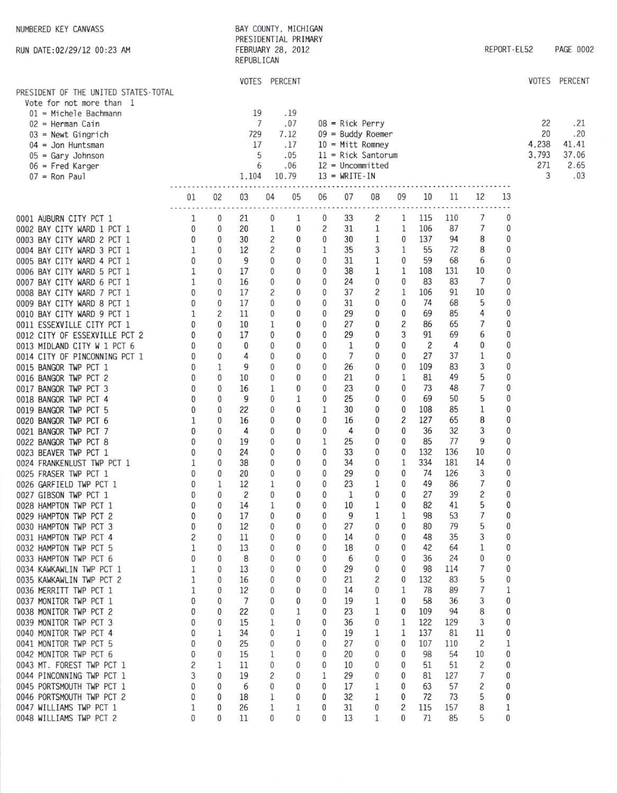| NUMBERED KEY CANVASS<br>RUN DATE: 02/29/12 00:23 AM                                                                                                                                                                                                                                                                                                                                                                                                                                                                                                                                                                                                                                                                                                                                                                                                                                                                                                                                                                                                                                                                                                                                                                    |                                                                                                                                                                                                                                                                               |                                                                                                                                                                                                                                | REPUBLICAN                                                                                                                                                                                                                                                         |                                                                                                                                                                                                                                                                                                                   | BAY COUNTY, MICHIGAN<br>PRESIDENTIAL PRIMARY<br>FEBRUARY 28, 2012                                                                                                                                                                                                                                                                                                                                               |                                                                                                                                                                                                                                                                                                                                               |                                                                                                                                                                                                                                                                       |                                                                                                                                                                                                                                                     |                                                                                                                                                                                                                                                           |                                                                                                                                                                                                                                                                              |                                                                                                                                                                                                                                                                       |                                                                                                                                                                                                                                                   | REPORT-EL52                                                                                                                                                                                                                                           |                                        | PAGE 0002                                   |
|------------------------------------------------------------------------------------------------------------------------------------------------------------------------------------------------------------------------------------------------------------------------------------------------------------------------------------------------------------------------------------------------------------------------------------------------------------------------------------------------------------------------------------------------------------------------------------------------------------------------------------------------------------------------------------------------------------------------------------------------------------------------------------------------------------------------------------------------------------------------------------------------------------------------------------------------------------------------------------------------------------------------------------------------------------------------------------------------------------------------------------------------------------------------------------------------------------------------|-------------------------------------------------------------------------------------------------------------------------------------------------------------------------------------------------------------------------------------------------------------------------------|--------------------------------------------------------------------------------------------------------------------------------------------------------------------------------------------------------------------------------|--------------------------------------------------------------------------------------------------------------------------------------------------------------------------------------------------------------------------------------------------------------------|-------------------------------------------------------------------------------------------------------------------------------------------------------------------------------------------------------------------------------------------------------------------------------------------------------------------|-----------------------------------------------------------------------------------------------------------------------------------------------------------------------------------------------------------------------------------------------------------------------------------------------------------------------------------------------------------------------------------------------------------------|-----------------------------------------------------------------------------------------------------------------------------------------------------------------------------------------------------------------------------------------------------------------------------------------------------------------------------------------------|-----------------------------------------------------------------------------------------------------------------------------------------------------------------------------------------------------------------------------------------------------------------------|-----------------------------------------------------------------------------------------------------------------------------------------------------------------------------------------------------------------------------------------------------|-----------------------------------------------------------------------------------------------------------------------------------------------------------------------------------------------------------------------------------------------------------|------------------------------------------------------------------------------------------------------------------------------------------------------------------------------------------------------------------------------------------------------------------------------|-----------------------------------------------------------------------------------------------------------------------------------------------------------------------------------------------------------------------------------------------------------------------|---------------------------------------------------------------------------------------------------------------------------------------------------------------------------------------------------------------------------------------------------|-------------------------------------------------------------------------------------------------------------------------------------------------------------------------------------------------------------------------------------------------------|----------------------------------------|---------------------------------------------|
| PRESIDENT OF THE UNITED STATES-TOTAL                                                                                                                                                                                                                                                                                                                                                                                                                                                                                                                                                                                                                                                                                                                                                                                                                                                                                                                                                                                                                                                                                                                                                                                   |                                                                                                                                                                                                                                                                               |                                                                                                                                                                                                                                |                                                                                                                                                                                                                                                                    | VOTES PERCENT                                                                                                                                                                                                                                                                                                     |                                                                                                                                                                                                                                                                                                                                                                                                                 |                                                                                                                                                                                                                                                                                                                                               |                                                                                                                                                                                                                                                                       |                                                                                                                                                                                                                                                     |                                                                                                                                                                                                                                                           |                                                                                                                                                                                                                                                                              |                                                                                                                                                                                                                                                                       |                                                                                                                                                                                                                                                   |                                                                                                                                                                                                                                                       | VOTES                                  | <b>PERCENT</b>                              |
| Vote for not more than 1<br>$01$ = Michele Bachmann<br>$02$ = Herman Cain<br>$03$ = Newt Gingrich<br>$04 =$ Jon Huntsman<br>$05 = Gary Johnson$<br>$06$ = Fred Karger<br>$07 =$ Ron Paul                                                                                                                                                                                                                                                                                                                                                                                                                                                                                                                                                                                                                                                                                                                                                                                                                                                                                                                                                                                                                               |                                                                                                                                                                                                                                                                               |                                                                                                                                                                                                                                | 19<br>729<br>17<br>1,104                                                                                                                                                                                                                                           | 7<br>5<br>6                                                                                                                                                                                                                                                                                                       | .19<br>.07<br>7.12<br>.17<br>.05<br>.06<br>10.79                                                                                                                                                                                                                                                                                                                                                                |                                                                                                                                                                                                                                                                                                                                               | $08$ = Rick Perry<br>$13 = WRITE-IN$                                                                                                                                                                                                                                  | $09 =$ Buddy Roemer<br>$10 = Mitt$ Romney<br>$11$ = Rick Santorum<br>$12 = Uncommitted$                                                                                                                                                             |                                                                                                                                                                                                                                                           |                                                                                                                                                                                                                                                                              |                                                                                                                                                                                                                                                                       |                                                                                                                                                                                                                                                   |                                                                                                                                                                                                                                                       | 22<br>20<br>4,238<br>3,793<br>271<br>3 | .21<br>.20<br>41.41<br>37.06<br>2.65<br>.03 |
|                                                                                                                                                                                                                                                                                                                                                                                                                                                                                                                                                                                                                                                                                                                                                                                                                                                                                                                                                                                                                                                                                                                                                                                                                        | 01                                                                                                                                                                                                                                                                            | 02                                                                                                                                                                                                                             | 03                                                                                                                                                                                                                                                                 | 04                                                                                                                                                                                                                                                                                                                | 05                                                                                                                                                                                                                                                                                                                                                                                                              | 06                                                                                                                                                                                                                                                                                                                                            | 07                                                                                                                                                                                                                                                                    | 08                                                                                                                                                                                                                                                  | 09                                                                                                                                                                                                                                                        | 10                                                                                                                                                                                                                                                                           | 11                                                                                                                                                                                                                                                                    | 12                                                                                                                                                                                                                                                | 13                                                                                                                                                                                                                                                    |                                        |                                             |
| 0001 AUBURN CITY PCT 1<br>0002 BAY CITY WARD 1 PCT 1<br>0003 BAY CITY WARD 2 PCT 1<br>0004 BAY CITY WARD 3 PCT 1<br>0005 BAY CITY WARD 4 PCT 1<br>0006 BAY CITY WARD 5 PCT 1<br>0007 BAY CITY WARD 6 PCT 1<br>0008 BAY CITY WARD 7 PCT 1<br>0009 BAY CITY WARD 8 PCT 1<br>0010 BAY CITY WARD 9 PCT 1<br>0011 ESSEXVILLE CITY PCT 1<br>0012 CITY OF ESSEXVILLE PCT 2<br>0013 MIDLAND CITY W 1 PCT 6<br>0014 CITY OF PINCONNING PCT 1<br>0015 BANGOR TWP PCT 1<br>0016 BANGOR TWP PCT 2<br>0017 BANGOR TWP PCT 3<br>0018 BANGOR TWP PCT 4<br>0019 BANGOR TWP PCT 5<br>0020 BANGOR TWP PCT 6<br>0021 BANGOR TWP PCT 7<br>0022 BANGOR TWP PCT 8<br>0023 BEAVER TWP PCT 1<br>0024 FRANKENLUST TWP PCT 1<br>0025 FRASER TWP PCT 1<br>0026 GARFIELD TWP PCT 1<br>0027 GIBSON TWP PCT 1<br>0028 HAMPTON TWP PCT 1<br>0029 HAMPTON TWP PCT 2<br>0030 HAMPTON TWP PCT 3<br>0031 HAMPTON TWP PCT 4<br>0032 HAMPTON TWP PCT 5<br>0033 HAMPTON TWP PCT 6<br>0034 KAWKAWLIN TWP PCT 1<br>0035 KAWKAWLIN TWP PCT 2<br>0036 MERRITT TWP PCT 1<br>0037 MONITOR TWP PCT 1<br>0038 MONITOR TWP PCT 2<br>0039 MONITOR TWP PCT 3<br>0040 MONITOR TWP PCT 4<br>0041 MONITOR TWP PCT 5<br>0042 MONITOR TWP PCT 6<br>0043 MT. FOREST TWP PCT 1 | 1<br>0<br>0<br>1<br>0<br>1<br>1<br>0<br>0<br>1<br>0<br>0<br>0<br>$\mathbf{0}$<br>$\theta$<br>$\theta$<br>0<br>0<br>$\bf{0}$<br>0<br>0<br>$\bf{0}$<br>1<br>0<br>0<br>0<br>$\theta$<br>$^{0}$<br>0<br>2<br>1<br>$^{0}$<br>1<br>1<br>1<br>$\Omega$<br>0<br>0<br>0<br>0<br>0<br>2 | 0<br>0<br>0<br>0<br>0<br>0<br>0<br>0<br>0<br>2<br>0<br>0<br>0<br>0<br>1<br>0<br>0<br>0<br>0<br>0<br>0<br>0<br>0<br>0<br>0<br>1<br>0<br>0<br>0<br>0<br>0<br>0<br>0<br>0<br>0<br>0<br>0<br>0<br>0<br>1<br>$\mathbf{0}$<br>0<br>1 | 21<br>20<br>30<br>12<br>9<br>17<br>16<br>17<br>17<br>11<br>10<br>17<br>0<br>4<br>9<br>10<br>16<br>9<br>22<br>16<br>4<br>19<br>24<br>38<br>20<br>12<br>$\overline{c}$<br>14<br>17<br>12<br>11<br>13<br>8<br>13<br>16<br>12<br>7<br>22<br>15<br>34<br>25<br>15<br>11 | 0<br>1<br>2<br>2<br>0<br>$\mathbf{0}$<br>$\mathbf{0}$<br>2<br>0<br>0<br>1<br>0<br>0<br>0<br>$\mathbf{0}$<br>0<br>1<br>0<br>0<br>0<br>0<br>0<br>$\mathbf{0}$<br>$\theta$<br>0<br>1<br>$\mathbf{0}$<br>1<br>$\bf{0}$<br>0<br>$\bf{0}$<br>0<br>0<br>0<br>0<br>0<br>0<br>0<br>1<br>0<br>$\theta$<br>1<br>$\mathbf{0}$ | 1<br>0<br>$\bf{0}$<br>0<br>$\bf{0}$<br>0<br>$\mathbf{0}$<br>0<br>$\mathbf{0}$<br>0<br>$\mathbf{0}$<br>$\mathbf 0$<br>0<br>0<br>0<br>0<br>0<br>1<br>0<br>0<br>0<br>0<br>$\mathbf{0}$<br>$\mathbf{0}$<br>$\bf{0}$<br>0<br>$\mathbf{0}$<br>$\mathbf{0}$<br>$\mathbf{0}$<br>0<br>0<br>0<br>$\mathbf{0}$<br>0<br>0<br>$\bf{0}$<br>$\bf{0}$<br>1<br>$\mathbf{0}$<br>1<br>$\mathbf{0}$<br>$\mathbf{0}$<br>$\mathbf{0}$ | 0<br>$\overline{c}$<br>$\bf{0}$<br>$\mathbf{1}$<br>0<br>$\mathbf{0}$<br>0<br>$\mathbf{0}$<br>0<br>$\mathbf{0}$<br>$\mathbf{0}$<br>0<br>0<br>0<br>0<br>$\mathbf{0}$<br>0<br>0<br>1<br>$\mathbf{0}$<br>0<br>1<br>0<br>$\theta$<br>0<br>$\mathbf{0}$<br>$\theta$<br>0<br>0<br>0<br>0<br>0<br>0<br>0<br>0<br>0<br>0<br>0<br>0<br>0<br>0<br>0<br>0 | 33<br>31<br>30<br>35<br>31<br>38<br>24<br>37<br>31<br>29<br>27<br>29<br>1<br>$\overline{7}$<br>26<br>21<br>23<br>25<br>30<br>16<br>4<br>25<br>33<br>34<br>29<br>23<br>1<br>10<br>9<br>27<br>14<br>18<br>6<br>29<br>21<br>14<br>19<br>23<br>36<br>19<br>27<br>20<br>10 | 2<br>1<br>1<br>3<br>1<br>1<br>0<br>2<br>0<br>0<br>0<br>0<br>0<br>0<br>0<br>0<br>0<br>0<br>0<br>0<br>0<br>0<br>0<br>$\mathbf{0}$<br>0<br>1<br>$\mathbf{0}$<br>1<br>1<br>0<br>$^{0}$<br>0<br>$^{0}$<br>0<br>2<br>0<br>1<br>1<br>0<br>1<br>0<br>0<br>0 | $\mathbf{1}$<br>1<br>0<br>1<br>0<br>1<br>0<br>1<br>0<br>0<br>2<br>3<br>0<br>0<br>0<br>1<br>0<br>0<br>0<br>2<br>0<br>0<br>0<br>1<br>0<br>0<br>$^{0}$<br>0<br>1<br>0<br>0<br>0<br>0<br>0<br>$\mathbf{0}$<br>1<br>0<br>0<br>1<br>1<br>$\mathbf{0}$<br>0<br>0 | 115<br>106<br>137<br>55<br>59<br>108<br>83<br>106<br>74<br>69<br>86<br>91<br>2<br>27<br>109<br>81<br>73<br>69<br>108<br>127<br>36<br>85<br>132<br>334<br>74<br>49<br>27<br>82<br>98<br>80<br>48<br>42<br>36<br>98<br>132<br>78<br>58<br>109<br>122<br>137<br>107<br>98<br>51 | 110<br>87<br>94<br>72<br>68<br>131<br>83<br>91<br>68<br>85<br>65<br>69<br>4<br>37<br>83<br>49<br>48<br>50<br>85<br>65<br>32<br>77<br>136<br>181<br>126<br>86<br>39<br>41<br>53<br>79<br>35<br>64<br>24<br>114<br>83<br>89<br>36<br>94<br>129<br>81<br>110<br>54<br>51 | 7<br>7<br>8<br>8<br>6<br>10<br>7<br>10<br>5<br>4<br>7<br>6<br>0<br>1<br>3<br>5<br>7<br>5<br>1<br>8<br>3<br>9<br>10<br>14<br>3<br>7<br>2<br>5<br>7<br>5<br>3<br>1<br>$\mathbf{0}$<br>7<br>5<br>7<br>3<br>8<br>3<br>11<br>$\overline{c}$<br>10<br>2 | 0<br>0<br>$\bf{0}$<br>0<br>$\mathbf{0}$<br>$\mathbf{0}$<br>0<br>0<br>0<br>0<br>0<br>0<br>0<br>0<br>0<br>0<br>0<br>$\mathbf{0}$<br>0<br>$\bf{0}$<br>0<br>0<br>0<br>$\Omega$<br>0<br>0<br>0<br>0<br>0<br>0<br>0<br>0<br>0<br>0<br>0<br>0<br>1<br>0<br>0 |                                        |                                             |
| 0044 PINCONNING TWP PCT 1<br>0045 PORTSMOUTH TWP PCT 1<br>0046 PORTSMOUTH TWP PCT 2<br>0047 WILLIAMS TWP PCT 1<br>0048 WILLIAMS TWP PCT 2                                                                                                                                                                                                                                                                                                                                                                                                                                                                                                                                                                                                                                                                                                                                                                                                                                                                                                                                                                                                                                                                              | 3<br>0<br>0<br>1<br>0                                                                                                                                                                                                                                                         | 0<br>0<br>0<br>0<br>0                                                                                                                                                                                                          | 19<br>6<br>18<br>26<br>11                                                                                                                                                                                                                                          | 2<br>0<br>1<br>1<br>$\mathbf{0}$                                                                                                                                                                                                                                                                                  | $\mathbf{0}$<br>$\mathbf{0}$<br>$\bf{0}$<br>1<br>0                                                                                                                                                                                                                                                                                                                                                              | 1<br>0<br>0<br>0<br>0                                                                                                                                                                                                                                                                                                                         | 29<br>17<br>32<br>31<br>13                                                                                                                                                                                                                                            | 0<br>1<br>1<br>0<br>1                                                                                                                                                                                                                               | $\bf{0}$<br>$^{0}$<br>$\mathbf{0}$<br>2<br>$\mathbf{0}$                                                                                                                                                                                                   | 81<br>63<br>72<br>115<br>71                                                                                                                                                                                                                                                  | 127<br>57<br>73<br>157<br>85                                                                                                                                                                                                                                          | 7<br>2<br>5<br>8<br>5                                                                                                                                                                                                                             | 0<br>0<br>0<br>1<br>0                                                                                                                                                                                                                                 |                                        |                                             |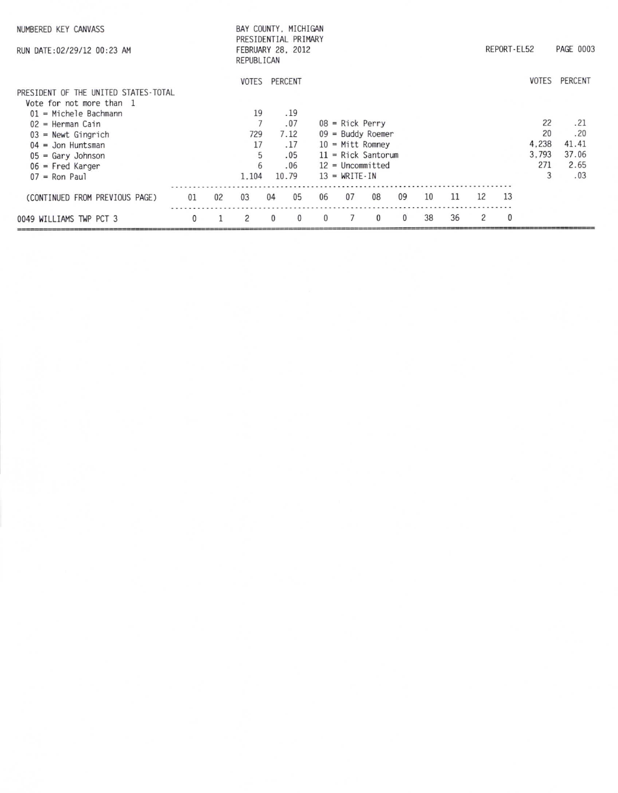| NUMBERED KEY CANVASS<br>RUN DATE: 02/29/12 00:23 AM              | BAY COUNTY, MICHIGAN<br>PRESIDENTIAL PRIMARY<br>REPORT-EL52<br>FEBRUARY 28, 2012<br>REPUBLICAN |    |               |          |          |          |                                     |              |              |    |    |    |            |              |         |
|------------------------------------------------------------------|------------------------------------------------------------------------------------------------|----|---------------|----------|----------|----------|-------------------------------------|--------------|--------------|----|----|----|------------|--------------|---------|
| PRESIDENT OF THE UNITED STATES-TOTAL<br>Vote for not more than 1 |                                                                                                |    | VOTES         |          | PERCENT  |          |                                     |              |              |    |    |    |            | <b>VOTES</b> | PERCENT |
| $01$ = Michele Bachmann                                          |                                                                                                |    | 19            |          | .19      |          |                                     |              |              |    |    |    |            |              |         |
| $02$ = Herman Cain                                               |                                                                                                |    |               |          | .07      |          | $08$ = Rick Perry                   |              |              |    |    |    |            | 22           | .21     |
| $03$ = Newt Gingrich                                             |                                                                                                |    | 729           |          | 7.12     |          | $09 =$ Buddy Roemer                 |              |              |    |    |    |            | 20           | .20     |
| $04 =$ Jon Huntsman                                              |                                                                                                |    | 17            |          | .17      |          | $10 = Mitt$ Romney                  |              |              |    |    |    |            | 4.238        | 41.41   |
| $05 = Gary Johnson$                                              |                                                                                                |    | 5             |          | .05      |          | $11 =$ Rick Santorum                |              |              |    |    |    |            | 3.793        | 37.06   |
| $06$ = Fred Karger                                               |                                                                                                |    | 6             |          | .06      |          | $12 = Uncommitted$                  |              |              |    |    |    |            | 271          | 2.65    |
| $07 =$ Ron Paul                                                  |                                                                                                |    | 1.104         |          | 10.79    |          | $13 = \text{WRITE} \cdot \text{IN}$ |              |              |    |    |    |            | 3            | .03     |
| (CONTINUED FROM PREVIOUS PAGE)                                   | 01                                                                                             | 02 | 03            | 04       | 05       | 06       | 07                                  | 08           | 09           | 10 | 11 | 12 | 13         |              |         |
| 0049 WILLIAMS TWP PCT 3                                          | 0                                                                                              |    | $\mathcal{P}$ | $\Omega$ | $\Omega$ | $\Omega$ |                                     | $\mathbf{0}$ | $\mathbf{0}$ | 38 | 36 | 2  | $^{\circ}$ |              |         |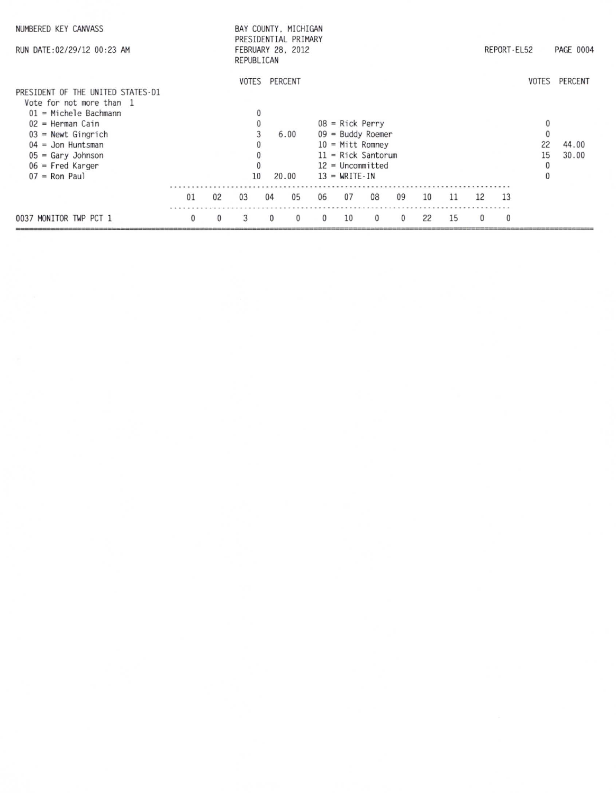| NUMBERED KEY CANVASS<br>RUN DATE: 02/29/12 00:23 AM                                                                                                                                                                           |    | BAY COUNTY, MICHIGAN<br>PRESIDENTIAL PRIMARY<br>FEBRUARY 28, 2012<br>REPUBLICAN |                    |                  |          |          |                                                                                                                                                     |          |          |    |    | REPORT-EL52  | <b>PAGE 0004</b> |                                                               |                                 |
|-------------------------------------------------------------------------------------------------------------------------------------------------------------------------------------------------------------------------------|----|---------------------------------------------------------------------------------|--------------------|------------------|----------|----------|-----------------------------------------------------------------------------------------------------------------------------------------------------|----------|----------|----|----|--------------|------------------|---------------------------------------------------------------|---------------------------------|
| PRESIDENT OF THE UNITED STATES-D1<br>Vote for not more than 1<br>$01$ = Michele Bachmann<br>$02$ = Herman Cain<br>$03$ = Newt Gingrich<br>$04 =$ Jon Huntsman<br>$05 = Gary Johnson$<br>$06$ = Fred Karger<br>$07 =$ Ron Paul |    |                                                                                 | <b>VOTES</b><br>10 | PERCENT<br>20.00 | 6.00     |          | $08$ = Rick Perry<br>$09 =$ Buddy Roemer<br>$10 =$ Mitt Romney<br>$11 =$ Rick Santorum<br>$12 = Uncommitted$<br>$13 = \text{WRITE} \cdot \text{IN}$ |          |          |    |    |              |                  | $\mathbf{0}$<br>$\mathbf{0}$<br>22<br>15<br>0<br>$\mathbf{0}$ | VOTES PERCENT<br>44.00<br>30.00 |
|                                                                                                                                                                                                                               | 01 | 02                                                                              | 0 <sub>3</sub>     | 04               | 05       | 06       | 07                                                                                                                                                  | 08       | 09       | 10 | 11 | 12           | 13               |                                                               |                                 |
| 0037 MONITOR TWP PCT 1                                                                                                                                                                                                        | 0  | $\mathbf{0}$                                                                    | 3                  | $\Omega$         | $\Omega$ | $\Omega$ | 10                                                                                                                                                  | $\Omega$ | $\Omega$ | 22 | 15 | $\mathbf{0}$ | $\mathbf{0}$     |                                                               |                                 |